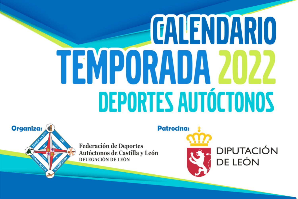# *CALENDARIO* **TEMPORADA 2022 DEPORTES AUTÓCTONOS**

Organiza:

**Federación de Deportes** Autóctonos de Castilla y León **DELEGACIÓN DE LEÓN** 

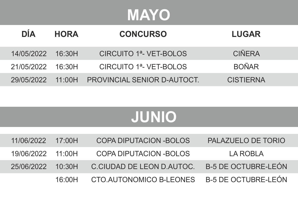## **MAYO**

| <b>DIA</b>        | <b>HORA</b> | <b>CONCURSO</b>                     | <b>LUGAR</b>     |  |
|-------------------|-------------|-------------------------------------|------------------|--|
| 14/05/2022 16:30H |             | CIRCUITO 1 <sup>ª</sup> - VET-BOLOS | <b>CIÑERA</b>    |  |
| 21/05/2022        | 16:30H      | CIRCUITO 1 <sup>ª</sup> - VET-BOLOS | <b>BOÑAR</b>     |  |
| 29/05/2022        |             | 11:00H PROVINCIAL SENIOR D-AUTOCT.  | <b>CISTIFRNA</b> |  |

## **JUNIO**

| 11/06/2022        | 17:00H | COPA DIPUTACION - BOLOS                     | PALAZUELO DE TORIO         |
|-------------------|--------|---------------------------------------------|----------------------------|
| 19/06/2022 11:00H |        | COPA DIPUTACION - BOLOS                     | I A ROBI A                 |
| 25/06/2022        | 10:30H | C.CIUDAD DE LEON D.AUTOC.                   | <b>B-5 DE OCTUBRE-LEÓN</b> |
|                   | 16:00H | CTO.AUTONOMICO B-LEONES B-5 DE OCTUBRE-LEÓN |                            |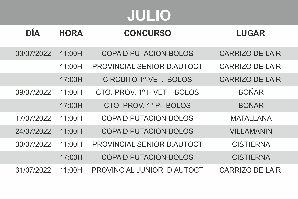# **JULIO**

| DÍA        | <b>HORA</b> | <b>CONCURSO</b>                    | <b>LUGAR</b>      |
|------------|-------------|------------------------------------|-------------------|
| 03/07/2022 | 11:00H      | COPA DIPUTACION-BOLOS              | CARRIZO DE LA R   |
|            | 11.00H      | PROVINCIAL SENIOR D ALITOCT        | CARRIZO DE LA R   |
|            | 17:00H      | CIRCUITO 1 <sup>a</sup> -VET BOLOS | CARRIZO DE LA R   |
| 09/07/2022 | 11:00H      | CTO PROV 1º I-VET - BOLOS          | <b>BOÑAR</b>      |
|            | 17:00H      | CTO PROV 1º P- BOLOS               | <b>BOÑAR</b>      |
| 17/07/2022 | 11.00H      | COPA DIPUTACION-BOLOS              | MATAI I ANA       |
| 24/07/2022 | 11.00H      | COPA DIPUTACION-BOLOS              | <b>VILLAMANIN</b> |
| 30/07/2022 | 11:00H      | PROVINCIAL SENIOR D.AUTOCT         | <b>CISTIFRNA</b>  |
|            | 17:00H      | COPA DIPUTACION-BOLOS              | <b>CISTIERNA</b>  |
| 31/07/2022 | 11:00H      | PROVINCIAL JUNIOR D.AUTOCT         | CARRIZO DE LA R   |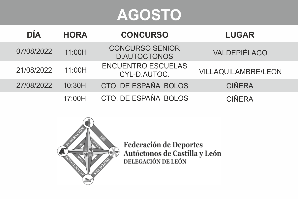## **AGOSTO**

| <b>DÍA</b> | <b>HORA</b> | <b>CONCURSO</b>                               | <b>LUGAR</b>        |
|------------|-------------|-----------------------------------------------|---------------------|
| 07/08/2022 | 11.00H      | <b>CONCURSO SENIOR</b><br><b>D.AUTOCTONOS</b> | VALDEPIÉLAGO        |
| 21/08/2022 | 11.00H      | <b>ENCUENTRO ESCUELAS</b><br>CYL-D.AUTOC.     | VILLAQUILAMBRE/LEON |
| 27/08/2022 | 10:30H      | CTO. DE ESPAÑA BOLOS                          | <b>CIÑERA</b>       |
|            | 17.00H      | CTO. DE ESPAÑA BOLOS                          | <b>CIÑFRA</b>       |



Federación de Deportes<br>Autóctonos de Castilla y León<br>DELEGACIÓN DE LEÓN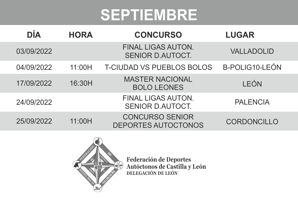#### **SEPTIEMBRE**

| DÍA        | <b>HORA</b> | <b>CONCURSO</b>                               | <b>LUGAR</b>      |
|------------|-------------|-----------------------------------------------|-------------------|
| 03/09/2022 |             | <b>FINAL LIGAS AUTON.</b><br>SENIOR D.AUTOCT. | <b>VALLADOLID</b> |
| 04/09/2022 | 11:00H      | <b>T-CIUDAD VS PUEBLOS BOLOS</b>              | B-POLIG10-LEÓN    |
| 17/09/2022 | 16:30H      | <b>MASTER NACIONAL</b><br><b>BOLO LEONES</b>  | LEÓN              |
| 24/09/2022 |             | FINAL LIGAS AUTON.<br>SENIOR D.AUTOCT.        | <b>PALENCIA</b>   |
| 25/09/2022 | 11:00H      | <b>CONCURSO SENIOR</b><br>DEPORTES AUTOCTONOS | CORDONCILLO       |



Federación de Deportes<br>Autóctonos de Castilla y León<br>DELEGACIÓN DE LEÓN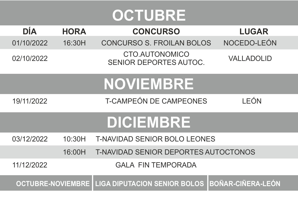## **OCTUBRE**

| DÍA        | HORA   | <b>CONCURSO</b>                                         | <b>LUGAR</b>             |
|------------|--------|---------------------------------------------------------|--------------------------|
| 01/10/2022 | 16:30H | CONCURSO S. FROILAN BOLOS                               | NOCEDO-LEÓN              |
| 02/10/2022 |        | CTO.AUTONOMICO<br>SENIOR DEPORTES AUTOC.                | VALLADOLID               |
|            |        | <b>NOVIEMBRE</b>                                        |                          |
| 19/11/2022 |        | <b>T-CAMPEÓN DE CAMPEONES</b>                           | I FÓN                    |
|            |        | <b>DICIEMBRE</b>                                        |                          |
| 03/12/2022 | 10:30H | T-NAVIDAD SENIOR BOLO LEONES                            |                          |
|            | 16:00H | T-NAVIDAD SENIOR DEPORTES AUTOCTONOS                    |                          |
| 11/12/2022 |        | <b>GALA FIN TEMPORADA</b>                               |                          |
|            |        | <b>OCTUBRE-NOVIEMBRE   LIGA DIPUTACION SENIOR BOLOS</b> | <b>BOÑAR-CIÑERA-LEÓN</b> |